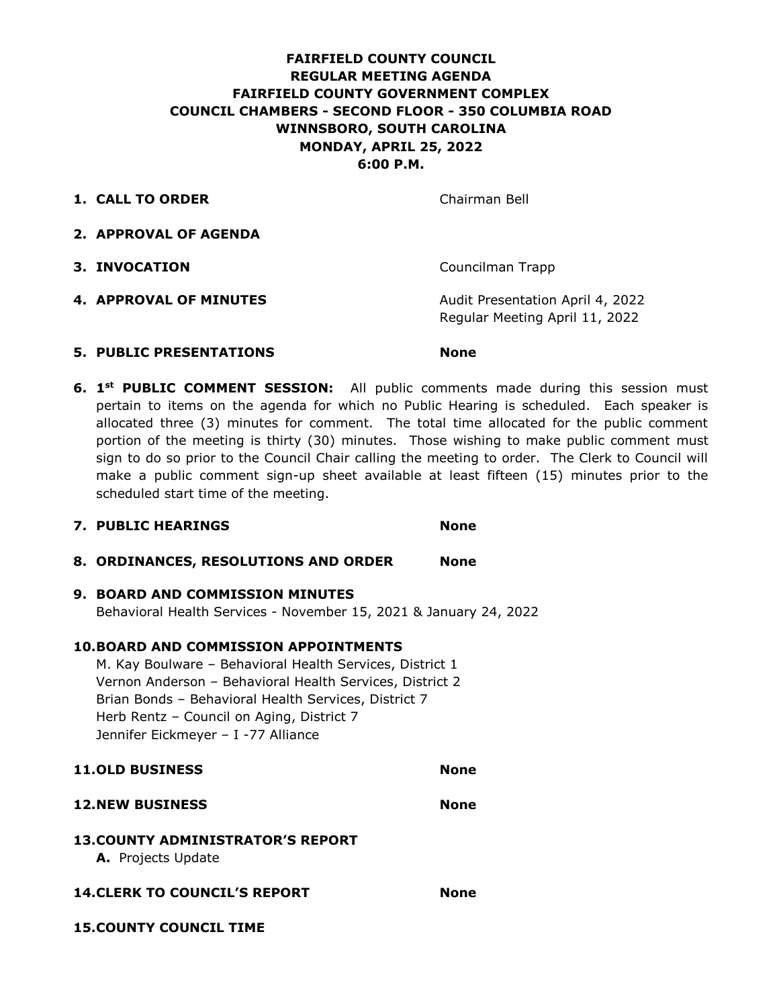# **FAIRFIELD COUNTY COUNCIL REGULAR MEETING AGENDA FAIRFIELD COUNTY GOVERNMENT COMPLEX COUNCIL CHAMBERS - SECOND FLOOR - 350 COLUMBIA ROAD WINNSBORO, SOUTH CAROLINA MONDAY, APRIL 25, 2022 6:00 P.M.**

**1. CALL TO ORDER** Chairman Bell

- **2. APPROVAL OF AGENDA**
- **3. INVOCATION Councilman Trapp**
- **4. APPROVAL OF MINUTES** Audit Presentation April 4, 2022

Regular Meeting April 11, 2022

#### **5. PUBLIC PRESENTATIONS None**

**6. 1st PUBLIC COMMENT SESSION:** All public comments made during this session must pertain to items on the agenda for which no Public Hearing is scheduled. Each speaker is allocated three (3) minutes for comment. The total time allocated for the public comment portion of the meeting is thirty (30) minutes. Those wishing to make public comment must sign to do so prior to the Council Chair calling the meeting to order. The Clerk to Council will make a public comment sign-up sheet available at least fifteen (15) minutes prior to the scheduled start time of the meeting.

#### **7. PUBLIC HEARINGS None**

**8. ORDINANCES, RESOLUTIONS AND ORDER None**

#### **9. BOARD AND COMMISSION MINUTES**

Behavioral Health Services - November 15, 2021 & January 24, 2022

# **10.BOARD AND COMMISSION APPOINTMENTS**

M. Kay Boulware – Behavioral Health Services, District 1 Vernon Anderson – Behavioral Health Services, District 2 Brian Bonds – Behavioral Health Services, District 7 Herb Rentz – Council on Aging, District 7 Jennifer Eickmeyer – I -77 Alliance

### **11.OLD BUSINESS None**

# **12.NEW BUSINESS None**

# **13.COUNTY ADMINISTRATOR'S REPORT**

- **A.** Projects Update
- **14.CLERK TO COUNCIL'S REPORT None**
- **15.COUNTY COUNCIL TIME**